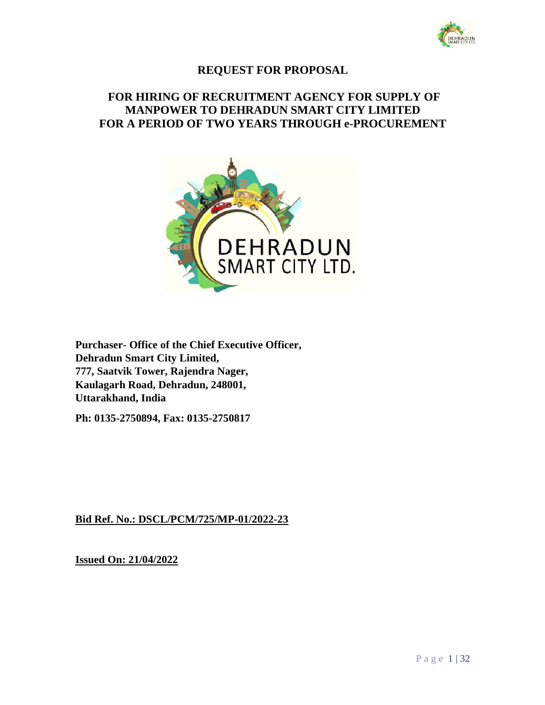

# **REQUEST FOR PROPOSAL**

# **FOR HIRING OF RECRUITMENT AGENCY FOR SUPPLY OF MANPOWER TO DEHRADUN SMART CITY LIMITED FOR A PERIOD OF TWO YEARS THROUGH e-PROCUREMENT**



**Purchaser- Office of the Chief Executive Officer, Dehradun Smart City Limited, 777, Saatvik Tower, Rajendra Nager, Kaulagarh Road, Dehradun, 248001, Uttarakhand, India** 

**Ph: 0135-2750894, Fax: 0135-2750817** 

# **Bid Ref. No.: DSCL/PCM/725/MP-01/2022-23**

**Issued On: 21/04/2022**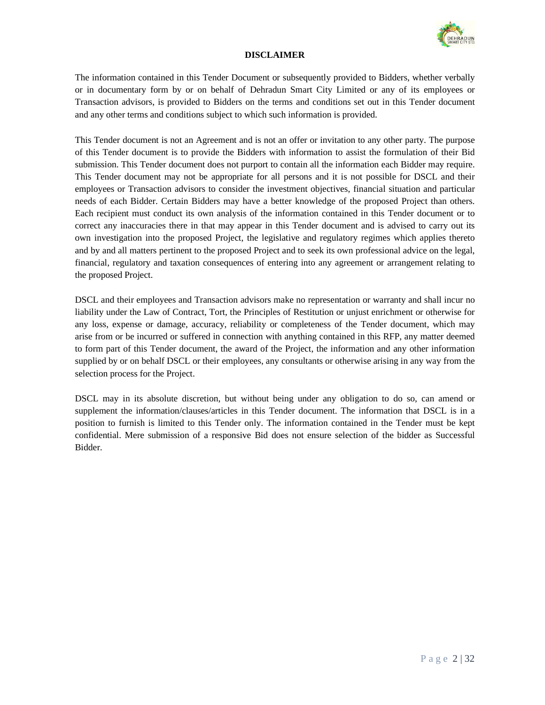

#### **DISCLAIMER**

The information contained in this Tender Document or subsequently provided to Bidders, whether verbally or in documentary form by or on behalf of Dehradun Smart City Limited or any of its employees or Transaction advisors, is provided to Bidders on the terms and conditions set out in this Tender document and any other terms and conditions subject to which such information is provided.

This Tender document is not an Agreement and is not an offer or invitation to any other party. The purpose of this Tender document is to provide the Bidders with information to assist the formulation of their Bid submission. This Tender document does not purport to contain all the information each Bidder may require. This Tender document may not be appropriate for all persons and it is not possible for DSCL and their employees or Transaction advisors to consider the investment objectives, financial situation and particular needs of each Bidder. Certain Bidders may have a better knowledge of the proposed Project than others. Each recipient must conduct its own analysis of the information contained in this Tender document or to correct any inaccuracies there in that may appear in this Tender document and is advised to carry out its own investigation into the proposed Project, the legislative and regulatory regimes which applies thereto and by and all matters pertinent to the proposed Project and to seek its own professional advice on the legal, financial, regulatory and taxation consequences of entering into any agreement or arrangement relating to the proposed Project.

DSCL and their employees and Transaction advisors make no representation or warranty and shall incur no liability under the Law of Contract, Tort, the Principles of Restitution or unjust enrichment or otherwise for any loss, expense or damage, accuracy, reliability or completeness of the Tender document, which may arise from or be incurred or suffered in connection with anything contained in this RFP, any matter deemed to form part of this Tender document, the award of the Project, the information and any other information supplied by or on behalf DSCL or their employees, any consultants or otherwise arising in any way from the selection process for the Project.

DSCL may in its absolute discretion, but without being under any obligation to do so, can amend or supplement the information/clauses/articles in this Tender document. The information that DSCL is in a position to furnish is limited to this Tender only. The information contained in the Tender must be kept confidential. Mere submission of a responsive Bid does not ensure selection of the bidder as Successful Bidder.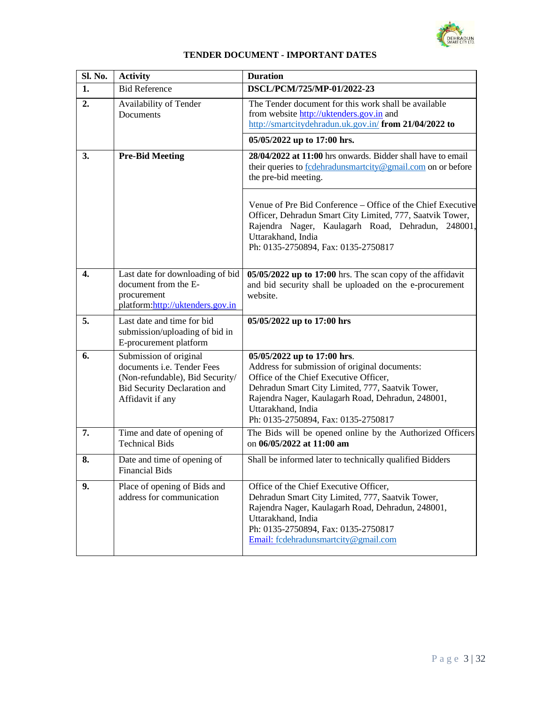

| TENDER DOCUMENT - IMPORTANT DATES |  |
|-----------------------------------|--|
|-----------------------------------|--|

| Sl. No. | <b>Activity</b>                                                                                                                                    | <b>Duration</b>                                                                                                                                                                                                                                                                              |
|---------|----------------------------------------------------------------------------------------------------------------------------------------------------|----------------------------------------------------------------------------------------------------------------------------------------------------------------------------------------------------------------------------------------------------------------------------------------------|
| 1.      | <b>Bid Reference</b>                                                                                                                               | DSCL/PCM/725/MP-01/2022-23                                                                                                                                                                                                                                                                   |
| 2.      | Availability of Tender<br>Documents                                                                                                                | The Tender document for this work shall be available<br>from website http://uktenders.gov.in and<br>http://smartcitydehradun.uk.gov.in/ from 21/04/2022 to                                                                                                                                   |
|         |                                                                                                                                                    | 05/05/2022 up to 17:00 hrs.                                                                                                                                                                                                                                                                  |
| 3.      | <b>Pre-Bid Meeting</b>                                                                                                                             | 28/04/2022 at 11:00 hrs onwards. Bidder shall have to email<br>their queries to <b>fcdehradunsmartcity@gmail.com</b> on or before<br>the pre-bid meeting.                                                                                                                                    |
|         |                                                                                                                                                    | Venue of Pre Bid Conference – Office of the Chief Executive<br>Officer, Dehradun Smart City Limited, 777, Saatvik Tower,<br>Rajendra Nager, Kaulagarh Road, Dehradun, 248001,<br>Uttarakhand, India<br>Ph: 0135-2750894, Fax: 0135-2750817                                                   |
| 4.      | Last date for downloading of bid<br>document from the E-<br>procurement<br>platform: http://uktenders.gov.in                                       | 05/05/2022 up to 17:00 hrs. The scan copy of the affidavit<br>and bid security shall be uploaded on the e-procurement<br>website.                                                                                                                                                            |
| 5.      | Last date and time for bid<br>submission/uploading of bid in<br>E-procurement platform                                                             | 05/05/2022 up to 17:00 hrs                                                                                                                                                                                                                                                                   |
| 6.      | Submission of original<br>documents i.e. Tender Fees<br>(Non-refundable), Bid Security/<br><b>Bid Security Declaration and</b><br>Affidavit if any | 05/05/2022 up to 17:00 hrs.<br>Address for submission of original documents:<br>Office of the Chief Executive Officer,<br>Dehradun Smart City Limited, 777, Saatvik Tower,<br>Rajendra Nager, Kaulagarh Road, Dehradun, 248001,<br>Uttarakhand, India<br>Ph: 0135-2750894, Fax: 0135-2750817 |
| 7.      | Time and date of opening of<br><b>Technical Bids</b>                                                                                               | The Bids will be opened online by the Authorized Officers<br>on 06/05/2022 at 11:00 am                                                                                                                                                                                                       |
| 8.      | Date and time of opening of<br>Financial Bids                                                                                                      | Shall be informed later to technically qualified Bidders                                                                                                                                                                                                                                     |
| 9.      | Place of opening of Bids and<br>address for communication                                                                                          | Office of the Chief Executive Officer,<br>Dehradun Smart City Limited, 777, Saatvik Tower,<br>Rajendra Nager, Kaulagarh Road, Dehradun, 248001,<br>Uttarakhand, India<br>Ph: 0135-2750894, Fax: 0135-2750817<br>Email: fcdehradunsmartcity@gmail.com                                         |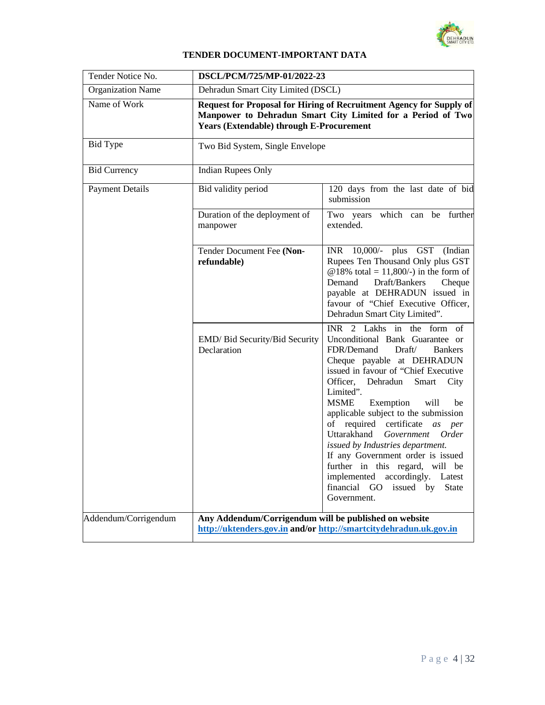

# **TENDER DOCUMENT-IMPORTANT DATA**

| Tender Notice No.        | DSCL/PCM/725/MP-01/2022-23                                                                                                                                                            |                                                                                                                                                                                                                                                                                                                                                                                                                                                                                                                                                                                             |  |
|--------------------------|---------------------------------------------------------------------------------------------------------------------------------------------------------------------------------------|---------------------------------------------------------------------------------------------------------------------------------------------------------------------------------------------------------------------------------------------------------------------------------------------------------------------------------------------------------------------------------------------------------------------------------------------------------------------------------------------------------------------------------------------------------------------------------------------|--|
| <b>Organization Name</b> | Dehradun Smart City Limited (DSCL)                                                                                                                                                    |                                                                                                                                                                                                                                                                                                                                                                                                                                                                                                                                                                                             |  |
| Name of Work             | Request for Proposal for Hiring of Recruitment Agency for Supply of<br>Manpower to Dehradun Smart City Limited for a Period of Two<br><b>Years (Extendable) through E-Procurement</b> |                                                                                                                                                                                                                                                                                                                                                                                                                                                                                                                                                                                             |  |
| <b>Bid Type</b>          | Two Bid System, Single Envelope                                                                                                                                                       |                                                                                                                                                                                                                                                                                                                                                                                                                                                                                                                                                                                             |  |
| <b>Bid Currency</b>      | <b>Indian Rupees Only</b>                                                                                                                                                             |                                                                                                                                                                                                                                                                                                                                                                                                                                                                                                                                                                                             |  |
| <b>Payment Details</b>   | Bid validity period                                                                                                                                                                   | 120 days from the last date of bid<br>submission                                                                                                                                                                                                                                                                                                                                                                                                                                                                                                                                            |  |
|                          | Duration of the deployment of<br>manpower                                                                                                                                             | Two years which can be further<br>extended.                                                                                                                                                                                                                                                                                                                                                                                                                                                                                                                                                 |  |
|                          | Tender Document Fee (Non-<br>refundable)                                                                                                                                              | INR 10,000/- plus GST<br>(Indian)<br>Rupees Ten Thousand Only plus GST<br>@18% total = 11,800/-) in the form of<br>Demand<br>Draft/Bankers<br>Cheque<br>payable at DEHRADUN issued in<br>favour of "Chief Executive Officer,<br>Dehradun Smart City Limited".                                                                                                                                                                                                                                                                                                                               |  |
|                          | EMD/ Bid Security/Bid Security<br>Declaration                                                                                                                                         | INR 2 Lakhs in the form of<br>Unconditional Bank Guarantee or<br>FDR/Demand<br>Draft/<br><b>Bankers</b><br>Cheque payable at DEHRADUN<br>issued in favour of "Chief Executive<br>Officer, Dehradun<br>Smart<br>City<br>Limited".<br>MSME Exemption<br>will<br>be<br>applicable subject to the submission<br>of required certificate as per<br>Uttarakhand<br>Government<br>Order<br>issued by Industries department.<br>If any Government order is issued<br>further in this regard, will be<br>implemented accordingly. Latest<br>financial GO<br>issued by<br><b>State</b><br>Government. |  |
| Addendum/Corrigendum     | Any Addendum/Corrigendum will be published on website<br>http://uktenders.gov.in and/or http://smartcitydehradun.uk.gov.in                                                            |                                                                                                                                                                                                                                                                                                                                                                                                                                                                                                                                                                                             |  |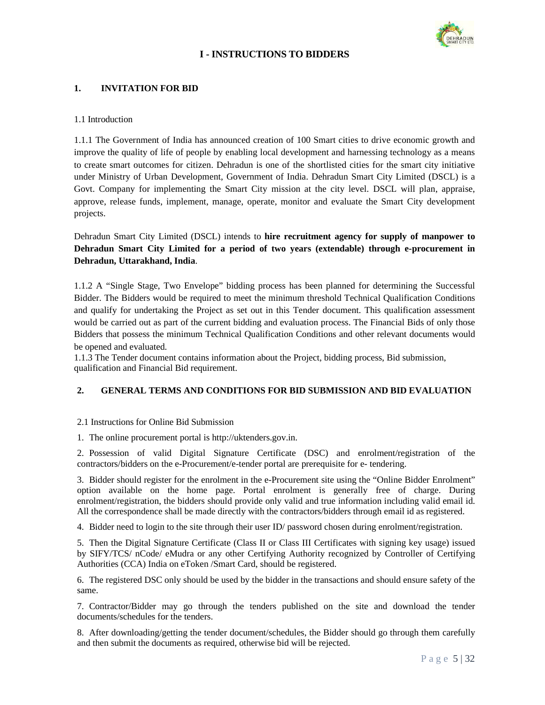

# **I - INSTRUCTIONS TO BIDDERS**

# **1. INVITATION FOR BID**

### 1.1 Introduction

1.1.1 The Government of India has announced creation of 100 Smart cities to drive economic growth and improve the quality of life of people by enabling local development and harnessing technology as a means to create smart outcomes for citizen. Dehradun is one of the shortlisted cities for the smart city initiative under Ministry of Urban Development, Government of India. Dehradun Smart City Limited (DSCL) is a Govt. Company for implementing the Smart City mission at the city level. DSCL will plan, appraise, approve, release funds, implement, manage, operate, monitor and evaluate the Smart City development projects.

Dehradun Smart City Limited (DSCL) intends to **hire recruitment agency for supply of manpower to Dehradun Smart City Limited for a period of two years (extendable) through e-procurement in Dehradun, Uttarakhand, India**.

1.1.2 A "Single Stage, Two Envelope" bidding process has been planned for determining the Successful Bidder. The Bidders would be required to meet the minimum threshold Technical Qualification Conditions and qualify for undertaking the Project as set out in this Tender document. This qualification assessment would be carried out as part of the current bidding and evaluation process. The Financial Bids of only those Bidders that possess the minimum Technical Qualification Conditions and other relevant documents would be opened and evaluated.

1.1.3 The Tender document contains information about the Project, bidding process, Bid submission, qualification and Financial Bid requirement.

# **2. GENERAL TERMS AND CONDITIONS FOR BID SUBMISSION AND BID EVALUATION**

### 2.1 Instructions for Online Bid Submission

1. The online procurement portal is http://uktenders.gov.in.

2. Possession of valid Digital Signature Certificate (DSC) and enrolment/registration of the contractors/bidders on the e-Procurement/e-tender portal are prerequisite for e- tendering.

3. Bidder should register for the enrolment in the e-Procurement site using the "Online Bidder Enrolment" option available on the home page. Portal enrolment is generally free of charge. During enrolment/registration, the bidders should provide only valid and true information including valid email id. All the correspondence shall be made directly with the contractors/bidders through email id as registered.

4. Bidder need to login to the site through their user ID/ password chosen during enrolment/registration.

5. Then the Digital Signature Certificate (Class II or Class III Certificates with signing key usage) issued by SIFY/TCS/ nCode/ eMudra or any other Certifying Authority recognized by Controller of Certifying Authorities (CCA) India on eToken /Smart Card, should be registered.

6. The registered DSC only should be used by the bidder in the transactions and should ensure safety of the same.

7. Contractor/Bidder may go through the tenders published on the site and download the tender documents/schedules for the tenders.

8. After downloading/getting the tender document/schedules, the Bidder should go through them carefully and then submit the documents as required, otherwise bid will be rejected.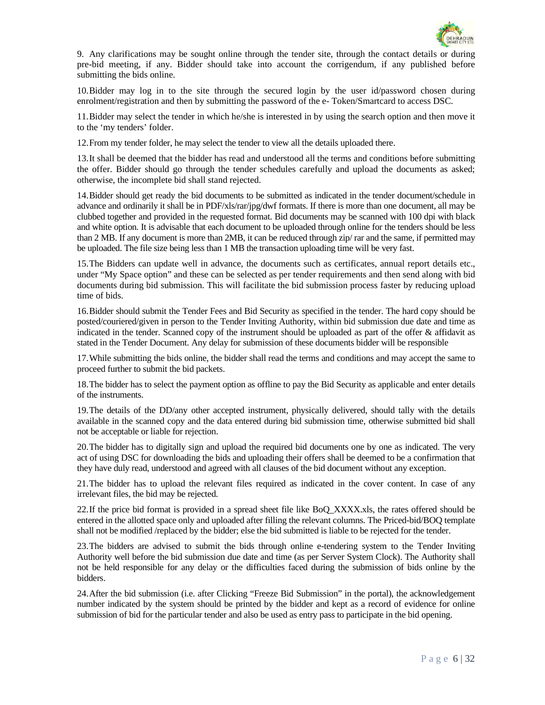

9. Any clarifications may be sought online through the tender site, through the contact details or during pre-bid meeting, if any. Bidder should take into account the corrigendum, if any published before submitting the bids online.

10.Bidder may log in to the site through the secured login by the user id/password chosen during enrolment/registration and then by submitting the password of the e- Token/Smartcard to access DSC.

11.Bidder may select the tender in which he/she is interested in by using the search option and then move it to the 'my tenders' folder.

12.From my tender folder, he may select the tender to view all the details uploaded there.

13.It shall be deemed that the bidder has read and understood all the terms and conditions before submitting the offer. Bidder should go through the tender schedules carefully and upload the documents as asked; otherwise, the incomplete bid shall stand rejected.

14.Bidder should get ready the bid documents to be submitted as indicated in the tender document/schedule in advance and ordinarily it shall be in PDF/xls/rar/jpg/dwf formats. If there is more than one document, all may be clubbed together and provided in the requested format. Bid documents may be scanned with 100 dpi with black and white option. It is advisable that each document to be uploaded through online for the tenders should be less than 2 MB. If any document is more than 2MB, it can be reduced through zip/ rar and the same, if permitted may be uploaded. The file size being less than 1 MB the transaction uploading time will be very fast.

15.The Bidders can update well in advance, the documents such as certificates, annual report details etc., under "My Space option" and these can be selected as per tender requirements and then send along with bid documents during bid submission. This will facilitate the bid submission process faster by reducing upload time of bids.

16.Bidder should submit the Tender Fees and Bid Security as specified in the tender. The hard copy should be posted/couriered/given in person to the Tender Inviting Authority, within bid submission due date and time as indicated in the tender. Scanned copy of the instrument should be uploaded as part of the offer  $\&$  affidavit as stated in the Tender Document. Any delay for submission of these documents bidder will be responsible

17.While submitting the bids online, the bidder shall read the terms and conditions and may accept the same to proceed further to submit the bid packets.

18.The bidder has to select the payment option as offline to pay the Bid Security as applicable and enter details of the instruments.

19.The details of the DD/any other accepted instrument, physically delivered, should tally with the details available in the scanned copy and the data entered during bid submission time, otherwise submitted bid shall not be acceptable or liable for rejection.

20.The bidder has to digitally sign and upload the required bid documents one by one as indicated. The very act of using DSC for downloading the bids and uploading their offers shall be deemed to be a confirmation that they have duly read, understood and agreed with all clauses of the bid document without any exception.

21.The bidder has to upload the relevant files required as indicated in the cover content. In case of any irrelevant files, the bid may be rejected.

22.If the price bid format is provided in a spread sheet file like BoQ\_XXXX.xls, the rates offered should be entered in the allotted space only and uploaded after filling the relevant columns. The Priced-bid/BOQ template shall not be modified /replaced by the bidder; else the bid submitted is liable to be rejected for the tender.

23.The bidders are advised to submit the bids through online e-tendering system to the Tender Inviting Authority well before the bid submission due date and time (as per Server System Clock). The Authority shall not be held responsible for any delay or the difficulties faced during the submission of bids online by the bidders.

24.After the bid submission (i.e. after Clicking "Freeze Bid Submission" in the portal), the acknowledgement number indicated by the system should be printed by the bidder and kept as a record of evidence for online submission of bid for the particular tender and also be used as entry pass to participate in the bid opening.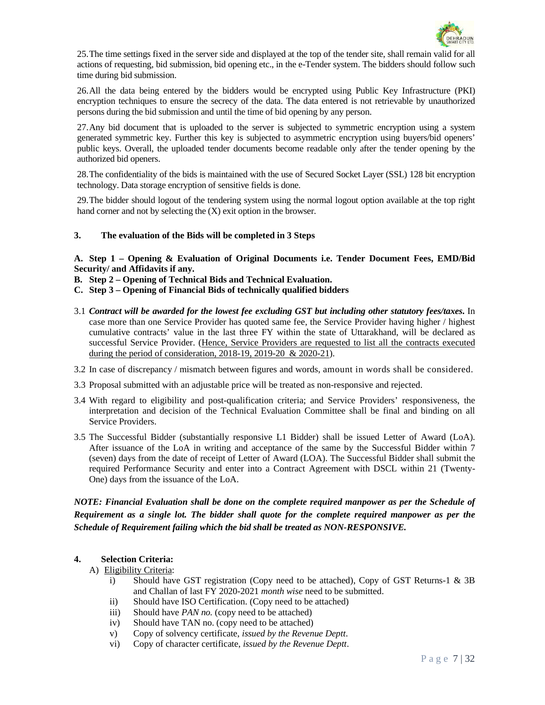

25.The time settings fixed in the server side and displayed at the top of the tender site, shall remain valid for all actions of requesting, bid submission, bid opening etc., in the e-Tender system. The bidders should follow such time during bid submission.

26.All the data being entered by the bidders would be encrypted using Public Key Infrastructure (PKI) encryption techniques to ensure the secrecy of the data. The data entered is not retrievable by unauthorized persons during the bid submission and until the time of bid opening by any person.

27.Any bid document that is uploaded to the server is subjected to symmetric encryption using a system generated symmetric key. Further this key is subjected to asymmetric encryption using buyers/bid openers' public keys. Overall, the uploaded tender documents become readable only after the tender opening by the authorized bid openers.

28.The confidentiality of the bids is maintained with the use of Secured Socket Layer (SSL) 128 bit encryption technology. Data storage encryption of sensitive fields is done.

29.The bidder should logout of the tendering system using the normal logout option available at the top right hand corner and not by selecting the (X) exit option in the browser.

### **3. The evaluation of the Bids will be completed in 3 Steps**

**A. Step 1 – Opening & Evaluation of Original Documents i.e. Tender Document Fees, EMD/Bid Security/ and Affidavits if any.** 

**B. Step 2 – Opening of Technical Bids and Technical Evaluation.** 

- **C. Step 3 Opening of Financial Bids of technically qualified bidders**
- 3.1 *Contract will be awarded for the lowest fee excluding GST but including other statutory fees/taxes***.** In case more than one Service Provider has quoted same fee, the Service Provider having higher / highest cumulative contracts' value in the last three FY within the state of Uttarakhand, will be declared as successful Service Provider. (Hence, Service Providers are requested to list all the contracts executed during the period of consideration, 2018-19, 2019-20 & 2020-21).
- 3.2 In case of discrepancy / mismatch between figures and words, amount in words shall be considered.
- 3.3 Proposal submitted with an adjustable price will be treated as non-responsive and rejected.
- 3.4 With regard to eligibility and post-qualification criteria; and Service Providers' responsiveness, the interpretation and decision of the Technical Evaluation Committee shall be final and binding on all Service Providers.
- 3.5 The Successful Bidder (substantially responsive L1 Bidder) shall be issued Letter of Award (LoA). After issuance of the LoA in writing and acceptance of the same by the Successful Bidder within 7 (seven) days from the date of receipt of Letter of Award (LOA). The Successful Bidder shall submit the required Performance Security and enter into a Contract Agreement with DSCL within 21 (Twenty-One) days from the issuance of the LoA.

# *NOTE: Financial Evaluation shall be done on the complete required manpower as per the Schedule of Requirement as a single lot. The bidder shall quote for the complete required manpower as per the Schedule of Requirement failing which the bid shall be treated as NON-RESPONSIVE.*

### **4. Selection Criteria:**

### A) Eligibility Criteria:

- i) Should have GST registration (Copy need to be attached), Copy of GST Returns-1 & 3B and Challan of last FY 2020-2021 *month wise* need to be submitted.
- ii) Should have ISO Certification. (Copy need to be attached)
- iii) Should have *PAN no.* (copy need to be attached)
- iv) Should have TAN no. (copy need to be attached)
- v) Copy of solvency certificate, *issued by the Revenue Deptt*.
- vi) Copy of character certificate, *issued by the Revenue Deptt*.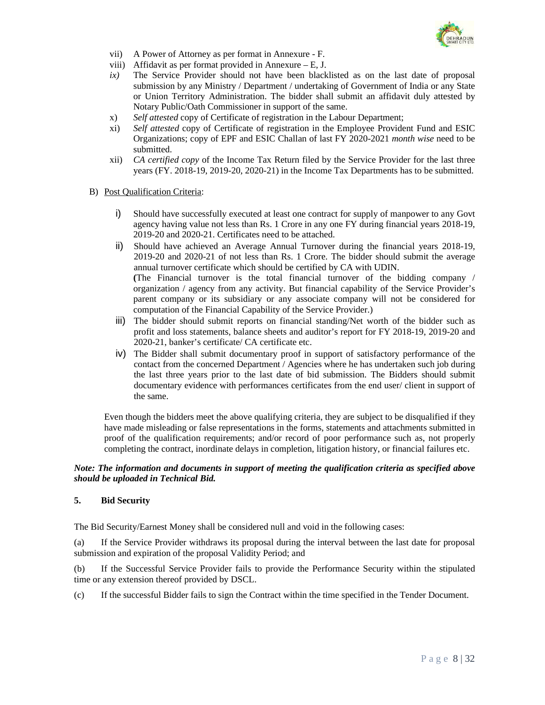

- vii) A Power of Attorney as per format in Annexure F.
- viii) Affidavit as per format provided in Annexure E, J.
- *ix)* The Service Provider should not have been blacklisted as on the last date of proposal submission by any Ministry / Department / undertaking of Government of India or any State or Union Territory Administration. The bidder shall submit an affidavit duly attested by Notary Public/Oath Commissioner in support of the same.
- x) *Self attested* copy of Certificate of registration in the Labour Department;
- xi) *Self attested* copy of Certificate of registration in the Employee Provident Fund and ESIC Organizations; copy of EPF and ESIC Challan of last FY 2020-2021 *month wise* need to be submitted.
- xii) *CA certified copy* of the Income Tax Return filed by the Service Provider for the last three years (FY. 2018-19, 2019-20, 2020-21) in the Income Tax Departments has to be submitted.
- B) Post Qualification Criteria:
	- i) Should have successfully executed at least one contract for supply of manpower to any Govt agency having value not less than Rs. 1 Crore in any one FY during financial years 2018-19, 2019-20 and 2020-21. Certificates need to be attached.
	- ii) Should have achieved an Average Annual Turnover during the financial years 2018-19, 2019-20 and 2020-21 of not less than Rs. 1 Crore. The bidder should submit the average annual turnover certificate which should be certified by CA with UDIN. **(**The Financial turnover is the total financial turnover of the bidding company / organization / agency from any activity. But financial capability of the Service Provider's parent company or its subsidiary or any associate company will not be considered for computation of the Financial Capability of the Service Provider.)
	- iii) The bidder should submit reports on financial standing/Net worth of the bidder such as profit and loss statements, balance sheets and auditor's report for FY 2018-19, 2019-20 and 2020-21, banker's certificate/ CA certificate etc.
	- iv) The Bidder shall submit documentary proof in support of satisfactory performance of the contact from the concerned Department / Agencies where he has undertaken such job during the last three years prior to the last date of bid submission. The Bidders should submit documentary evidence with performances certificates from the end user/ client in support of the same.

Even though the bidders meet the above qualifying criteria, they are subject to be disqualified if they have made misleading or false representations in the forms, statements and attachments submitted in proof of the qualification requirements; and/or record of poor performance such as, not properly completing the contract, inordinate delays in completion, litigation history, or financial failures etc.

#### *Note: The information and documents in support of meeting the qualification criteria as specified above should be uploaded in Technical Bid.*

### **5. Bid Security**

The Bid Security/Earnest Money shall be considered null and void in the following cases:

(a) If the Service Provider withdraws its proposal during the interval between the last date for proposal submission and expiration of the proposal Validity Period; and

(b) If the Successful Service Provider fails to provide the Performance Security within the stipulated time or any extension thereof provided by DSCL.

(c) If the successful Bidder fails to sign the Contract within the time specified in the Tender Document.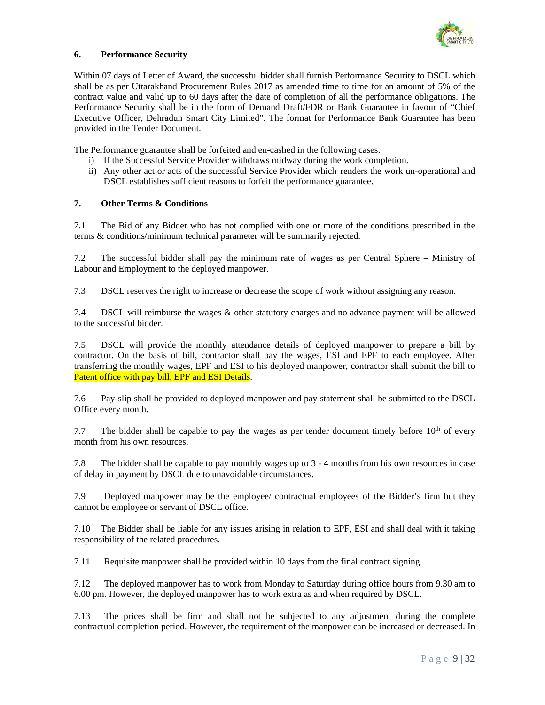

### **6. Performance Security**

Within 07 days of Letter of Award, the successful bidder shall furnish Performance Security to DSCL which shall be as per Uttarakhand Procurement Rules 2017 as amended time to time for an amount of 5% of the contract value and valid up to 60 days after the date of completion of all the performance obligations. The Performance Security shall be in the form of Demand Draft/FDR or Bank Guarantee in favour of "Chief Executive Officer, Dehradun Smart City Limited". The format for Performance Bank Guarantee has been provided in the Tender Document.

The Performance guarantee shall be forfeited and en-cashed in the following cases:

- i) If the Successful Service Provider withdraws midway during the work completion.
- ii) Any other act or acts of the successful Service Provider which renders the work un-operational and DSCL establishes sufficient reasons to forfeit the performance guarantee.

# **7. Other Terms & Conditions**

7.1 The Bid of any Bidder who has not complied with one or more of the conditions prescribed in the terms & conditions/minimum technical parameter will be summarily rejected.

7.2 The successful bidder shall pay the minimum rate of wages as per Central Sphere – Ministry of Labour and Employment to the deployed manpower.

7.3 DSCL reserves the right to increase or decrease the scope of work without assigning any reason.

7.4 DSCL will reimburse the wages & other statutory charges and no advance payment will be allowed to the successful bidder.

7.5 DSCL will provide the monthly attendance details of deployed manpower to prepare a bill by contractor. On the basis of bill, contractor shall pay the wages, ESI and EPF to each employee. After transferring the monthly wages, EPF and ESI to his deployed manpower, contractor shall submit the bill to Patent office with pay bill, EPF and ESI Details.

7.6 Pay-slip shall be provided to deployed manpower and pay statement shall be submitted to the DSCL Office every month.

7.7 The bidder shall be capable to pay the wages as per tender document timely before  $10<sup>th</sup>$  of every month from his own resources.

7.8 The bidder shall be capable to pay monthly wages up to 3 - 4 months from his own resources in case of delay in payment by DSCL due to unavoidable circumstances.

7.9 Deployed manpower may be the employee/ contractual employees of the Bidder's firm but they cannot be employee or servant of DSCL office.

7.10 The Bidder shall be liable for any issues arising in relation to EPF, ESI and shall deal with it taking responsibility of the related procedures.

7.11 Requisite manpower shall be provided within 10 days from the final contract signing.

7.12 The deployed manpower has to work from Monday to Saturday during office hours from 9.30 am to 6.00 pm. However, the deployed manpower has to work extra as and when required by DSCL.

7.13 The prices shall be firm and shall not be subjected to any adjustment during the complete contractual completion period. However, the requirement of the manpower can be increased or decreased. In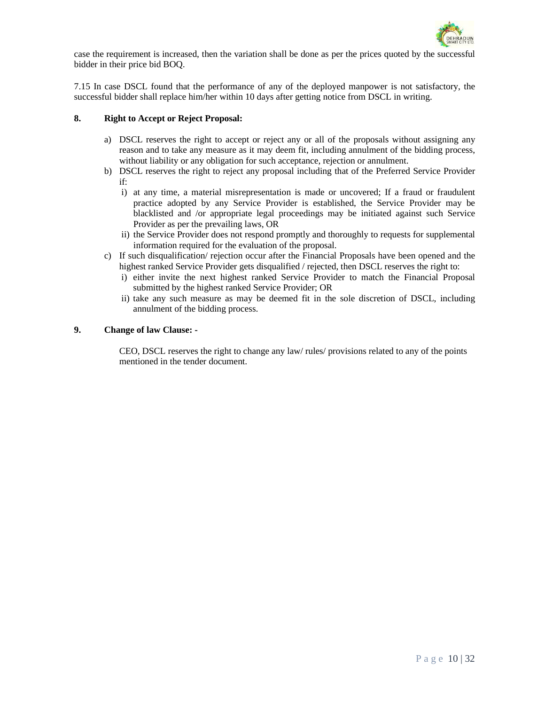

case the requirement is increased, then the variation shall be done as per the prices quoted by the successful bidder in their price bid BOQ.

7.15 In case DSCL found that the performance of any of the deployed manpower is not satisfactory, the successful bidder shall replace him/her within 10 days after getting notice from DSCL in writing.

### **8. Right to Accept or Reject Proposal:**

- a) DSCL reserves the right to accept or reject any or all of the proposals without assigning any reason and to take any measure as it may deem fit, including annulment of the bidding process, without liability or any obligation for such acceptance, rejection or annulment.
- b) DSCL reserves the right to reject any proposal including that of the Preferred Service Provider if:
	- i) at any time, a material misrepresentation is made or uncovered; If a fraud or fraudulent practice adopted by any Service Provider is established, the Service Provider may be blacklisted and /or appropriate legal proceedings may be initiated against such Service Provider as per the prevailing laws, OR
	- ii) the Service Provider does not respond promptly and thoroughly to requests for supplemental information required for the evaluation of the proposal.
- c) If such disqualification/ rejection occur after the Financial Proposals have been opened and the highest ranked Service Provider gets disqualified / rejected, then DSCL reserves the right to:
	- i) either invite the next highest ranked Service Provider to match the Financial Proposal submitted by the highest ranked Service Provider; OR
	- ii) take any such measure as may be deemed fit in the sole discretion of DSCL, including annulment of the bidding process.

### **9. Change of law Clause: -**

CEO, DSCL reserves the right to change any law/ rules/ provisions related to any of the points mentioned in the tender document.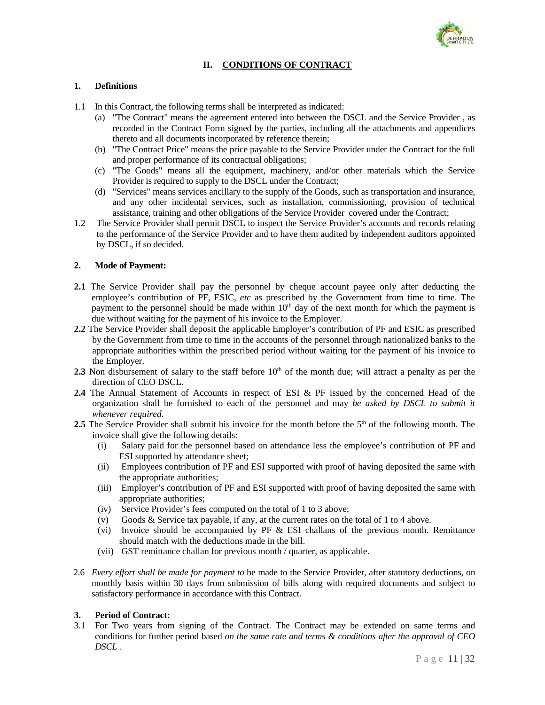

# **II. CONDITIONS OF CONTRACT**

### **1. Definitions**

- 1.1 In this Contract, the following terms shall be interpreted as indicated:
	- (a) "The Contract" means the agreement entered into between the DSCL and the Service Provider , as recorded in the Contract Form signed by the parties, including all the attachments and appendices thereto and all documents incorporated by reference therein;
	- (b) "The Contract Price" means the price payable to the Service Provider under the Contract for the full and proper performance of its contractual obligations;
	- (c) "The Goods" means all the equipment, machinery, and/or other materials which the Service Provider is required to supply to the DSCL under the Contract;
	- (d) "Services" means services ancillary to the supply of the Goods, such as transportation and insurance, and any other incidental services, such as installation, commissioning, provision of technical assistance, training and other obligations of the Service Provider covered under the Contract;
- 1.2 The Service Provider shall permit DSCL to inspect the Service Provider's accounts and records relating to the performance of the Service Provider and to have them audited by independent auditors appointed by DSCL, if so decided.

### **2. Mode of Payment:**

- **2.1** The Service Provider shall pay the personnel by cheque account payee only after deducting the employee's contribution of PF, ESIC, *etc* as prescribed by the Government from time to time. The payment to the personnel should be made within 10<sup>th</sup> day of the next month for which the payment is due without waiting for the payment of his invoice to the Employer.
- **2.2** The Service Provider shall deposit the applicable Employer's contribution of PF and ESIC as prescribed by the Government from time to time in the accounts of the personnel through nationalized banks to the appropriate authorities within the prescribed period without waiting for the payment of his invoice to the Employer.
- **2.3** Non disbursement of salary to the staff before  $10<sup>th</sup>$  of the month due; will attract a penalty as per the direction of CEO DSCL.
- **2.4** The Annual Statement of Accounts in respect of ESI & PF issued by the concerned Head of the organization shall be furnished to each of the personnel and may *be asked by DSCL to submit it whenever required.*
- **2.5** The Service Provider shall submit his invoice for the month before the 5<sup>th</sup> of the following month. The invoice shall give the following details:
	- (i) Salary paid for the personnel based on attendance less the employee's contribution of PF and ESI supported by attendance sheet;
	- (ii) Employees contribution of PF and ESI supported with proof of having deposited the same with the appropriate authorities;
	- (iii) Employer's contribution of PF and ESI supported with proof of having deposited the same with appropriate authorities;
	- (iv) Service Provider's fees computed on the total of 1 to 3 above;
	- (v) Goods & Service tax payable, if any, at the current rates on the total of 1 to 4 above.
	- (vi) Invoice should be accompanied by PF  $\&$  ESI challans of the previous month. Remittance should match with the deductions made in the bill.
	- (vii) GST remittance challan for previous month / quarter, as applicable.
- 2.6 *Every effort shall be made for payment to* be made to the Service Provider, after statutory deductions, on monthly basis within 30 days from submission of bills along with required documents and subject to satisfactory performance in accordance with this Contract.

### **3. Period of Contract:**

3.1 For Two years from signing of the Contract. The Contract may be extended on same terms and conditions for further period based *on the same rate and terms & conditions after the approval of CEO DSCL .*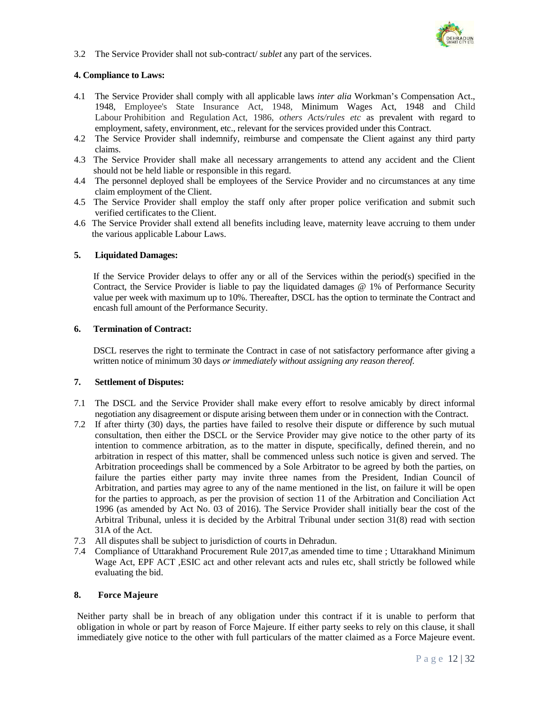

3.2 The Service Provider shall not sub-contract/ *sublet* any part of the services.

### **4. Compliance to Laws:**

- 4.1 The Service Provider shall comply with all applicable laws *inter alia* Workman's Compensation Act., 1948, Employee's State Insurance Act, 1948, Minimum Wages Act, 1948 and Child Labour Prohibition and Regulation Act, 1986, *others Acts/rules etc* as prevalent with regard to employment, safety, environment, etc., relevant for the services provided under this Contract.
- 4.2 The Service Provider shall indemnify, reimburse and compensate the Client against any third party claims.
- 4.3 The Service Provider shall make all necessary arrangements to attend any accident and the Client should not be held liable or responsible in this regard.
- 4.4 The personnel deployed shall be employees of the Service Provider and no circumstances at any time claim employment of the Client.
- 4.5 The Service Provider shall employ the staff only after proper police verification and submit such verified certificates to the Client.
- 4.6 The Service Provider shall extend all benefits including leave, maternity leave accruing to them under the various applicable Labour Laws.

# **5. Liquidated Damages:**

If the Service Provider delays to offer any or all of the Services within the period(s) specified in the Contract, the Service Provider is liable to pay the liquidated damages @ 1% of Performance Security value per week with maximum up to 10%. Thereafter, DSCL has the option to terminate the Contract and encash full amount of the Performance Security.

#### **6. Termination of Contract:**

DSCL reserves the right to terminate the Contract in case of not satisfactory performance after giving a written notice of minimum 30 days *or immediately without assigning any reason thereof.*

### **7. Settlement of Disputes:**

- 7.1 The DSCL and the Service Provider shall make every effort to resolve amicably by direct informal negotiation any disagreement or dispute arising between them under or in connection with the Contract.
- 7.2 If after thirty (30) days, the parties have failed to resolve their dispute or difference by such mutual consultation, then either the DSCL or the Service Provider may give notice to the other party of its intention to commence arbitration, as to the matter in dispute, specifically, defined therein, and no arbitration in respect of this matter, shall be commenced unless such notice is given and served. The Arbitration proceedings shall be commenced by a Sole Arbitrator to be agreed by both the parties, on failure the parties either party may invite three names from the President, Indian Council of Arbitration, and parties may agree to any of the name mentioned in the list, on failure it will be open for the parties to approach, as per the provision of section 11 of the Arbitration and Conciliation Act 1996 (as amended by Act No. 03 of 2016). The Service Provider shall initially bear the cost of the Arbitral Tribunal, unless it is decided by the Arbitral Tribunal under section 31(8) read with section 31A of the Act.
- 7.3 All disputes shall be subject to jurisdiction of courts in Dehradun.
- 7.4 Compliance of Uttarakhand Procurement Rule 2017,as amended time to time ; Uttarakhand Minimum Wage Act, EPF ACT , ESIC act and other relevant acts and rules etc, shall strictly be followed while evaluating the bid.

### **8. Force Majeure**

Neither party shall be in breach of any obligation under this contract if it is unable to perform that obligation in whole or part by reason of Force Majeure. If either party seeks to rely on this clause, it shall immediately give notice to the other with full particulars of the matter claimed as a Force Majeure event.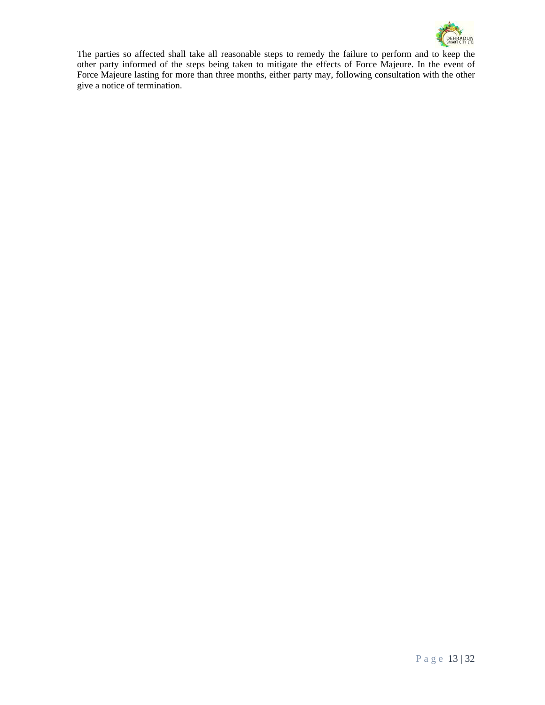

The parties so affected shall take all reasonable steps to remedy the failure to perform and to keep the other party informed of the steps being taken to mitigate the effects of Force Majeure. In the event of Force Majeure lasting for more than three months, either party may, following consultation with the other give a notice of termination.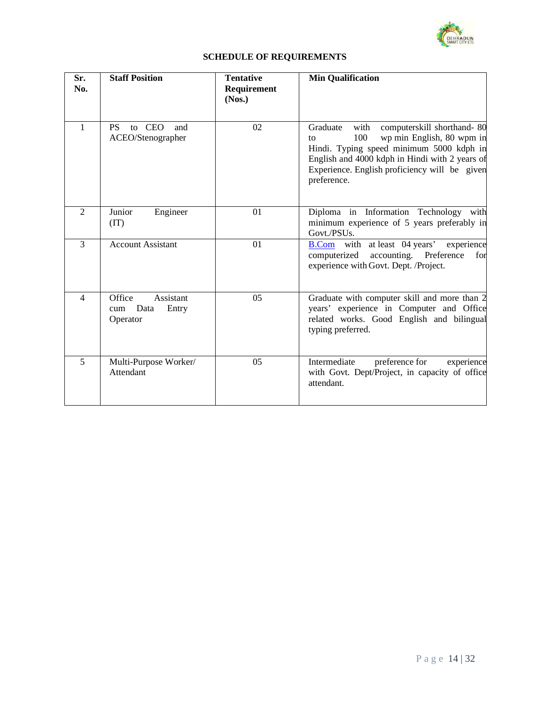

# **SCHEDULE OF REQUIREMENTS**

| Sr.<br>No.               | <b>Staff Position</b>                                   | <b>Tentative</b><br>Requirement<br>(Nos.) | <b>Min Qualification</b>                                                                                                                                                                                                                               |
|--------------------------|---------------------------------------------------------|-------------------------------------------|--------------------------------------------------------------------------------------------------------------------------------------------------------------------------------------------------------------------------------------------------------|
| $\mathbf{1}$             | to CEO<br><b>PS</b><br>and<br>ACEO/Stenographer         | 02                                        | Graduate<br>computerskill shorthand-80<br>with<br>wp min English, 80 wpm in<br>100<br>to<br>Hindi. Typing speed minimum 5000 kdph in<br>English and 4000 kdph in Hindi with 2 years of<br>Experience. English proficiency will be given<br>preference. |
| $\overline{2}$           | Junior<br>Engineer<br>(TT)                              | 01                                        | Diploma in Information Technology with<br>minimum experience of 5 years preferably in<br>Govt./PSUs.                                                                                                                                                   |
| 3                        | <b>Account Assistant</b>                                | 01                                        | with at least 04 years'<br>experience<br><b>B.Com</b><br>accounting. Preference<br>computerized<br>for<br>experience with Govt. Dept. /Project.                                                                                                        |
| $\overline{\mathcal{L}}$ | Office<br>Assistant<br>Data<br>Entry<br>cum<br>Operator | 05                                        | Graduate with computer skill and more than 2<br>years' experience in Computer and Office<br>related works. Good English and bilingual<br>typing preferred.                                                                                             |
| 5                        | Multi-Purpose Worker/<br>Attendant                      | 05                                        | Intermediate<br>preference for<br>experience<br>with Govt. Dept/Project, in capacity of office<br>attendant.                                                                                                                                           |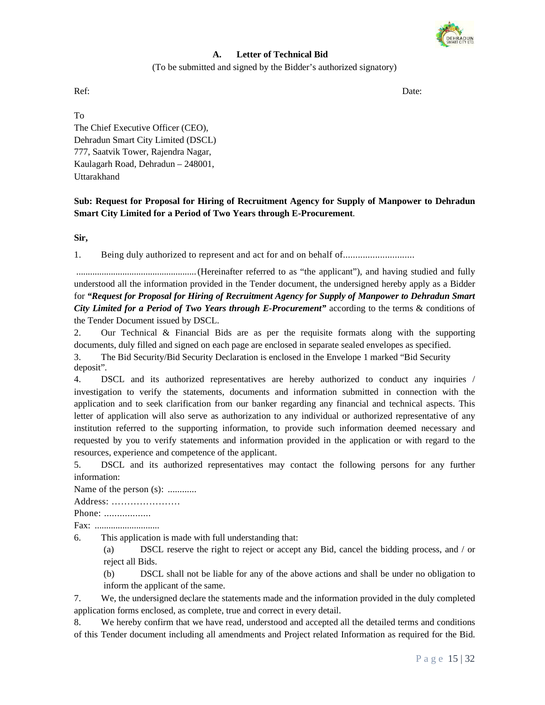

# **A. Letter of Technical Bid**

(To be submitted and signed by the Bidder's authorized signatory)

Ref: Date: Date: Date: Date: Date: Date: Date: Date: Date: Date: Date: Date: Date: Date: Date: Date: Date: Date: Date: Date: Date: Date: Date: Date: Date: Date: Date: Date: Date: Date: Date: Date: Date: Date: Date: Date: D

To The Chief Executive Officer (CEO), Dehradun Smart City Limited (DSCL) 777, Saatvik Tower, Rajendra Nagar, Kaulagarh Road, Dehradun – 248001, Uttarakhand

**Sub: Request for Proposal for Hiring of Recruitment Agency for Supply of Manpower to Dehradun Smart City Limited for a Period of Two Years through E-Procurement**.

**Sir,** 

1. Being duly authorized to represent and act for and on behalf of.............................

 .................................................... (Hereinafter referred to as "the applicant"), and having studied and fully understood all the information provided in the Tender document, the undersigned hereby apply as a Bidder for *"Request for Proposal for Hiring of Recruitment Agency for Supply of Manpower to Dehradun Smart City Limited for a Period of Two Years through E-Procurement"* according to the terms & conditions of the Tender Document issued by DSCL.

2. Our Technical & Financial Bids are as per the requisite formats along with the supporting documents, duly filled and signed on each page are enclosed in separate sealed envelopes as specified.

3. The Bid Security/Bid Security Declaration is enclosed in the Envelope 1 marked "Bid Security deposit".

4. DSCL and its authorized representatives are hereby authorized to conduct any inquiries / investigation to verify the statements, documents and information submitted in connection with the application and to seek clarification from our banker regarding any financial and technical aspects. This letter of application will also serve as authorization to any individual or authorized representative of any institution referred to the supporting information, to provide such information deemed necessary and requested by you to verify statements and information provided in the application or with regard to the resources, experience and competence of the applicant.

5. DSCL and its authorized representatives may contact the following persons for any further information:

Name of the person (s): ............

Address: ………………….

Phone: .................

Fax: ............................

6. This application is made with full understanding that:

(a) DSCL reserve the right to reject or accept any Bid, cancel the bidding process, and / or reject all Bids.

(b) DSCL shall not be liable for any of the above actions and shall be under no obligation to inform the applicant of the same.

7. We, the undersigned declare the statements made and the information provided in the duly completed application forms enclosed, as complete, true and correct in every detail.

8. We hereby confirm that we have read, understood and accepted all the detailed terms and conditions of this Tender document including all amendments and Project related Information as required for the Bid.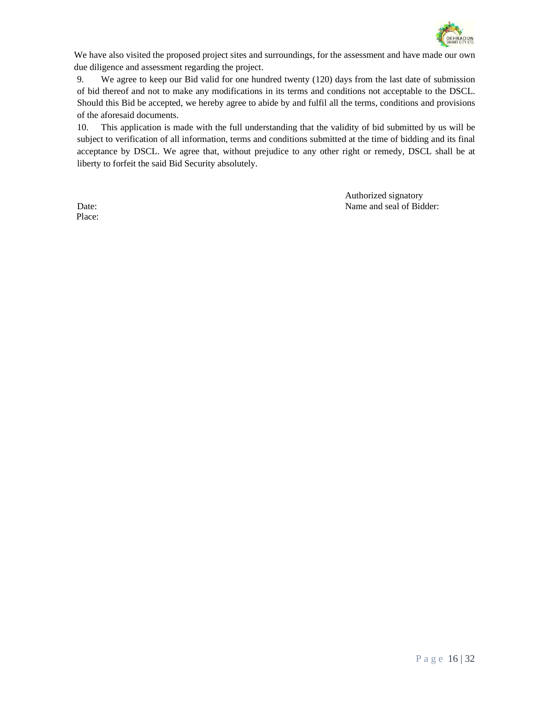

We have also visited the proposed project sites and surroundings, for the assessment and have made our own due diligence and assessment regarding the project.

9. We agree to keep our Bid valid for one hundred twenty (120) days from the last date of submission of bid thereof and not to make any modifications in its terms and conditions not acceptable to the DSCL. Should this Bid be accepted, we hereby agree to abide by and fulfil all the terms, conditions and provisions of the aforesaid documents.

10. This application is made with the full understanding that the validity of bid submitted by us will be subject to verification of all information, terms and conditions submitted at the time of bidding and its final acceptance by DSCL. We agree that, without prejudice to any other right or remedy, DSCL shall be at liberty to forfeit the said Bid Security absolutely.

Authorized signatory Date: Name and seal of Bidder:

Place: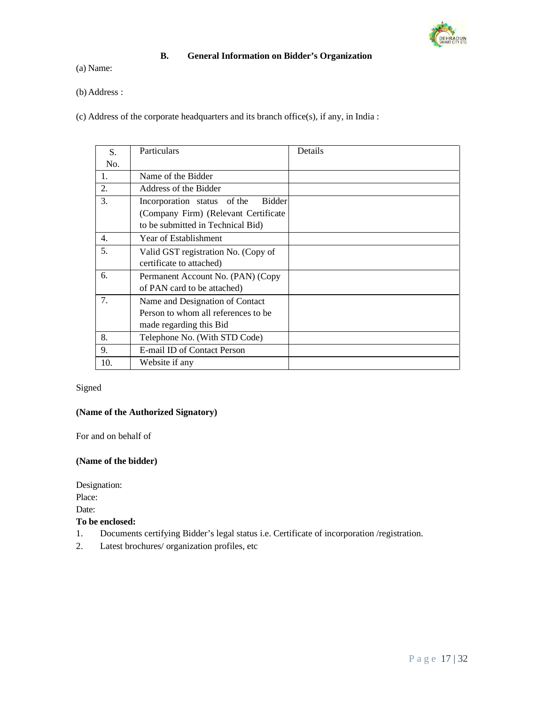

# **B. General Information on Bidder's Organization**

(a) Name:

(b)Address :

(c) Address of the corporate headquarters and its branch office(s), if any, in India :

| S.  | <b>Particulars</b>                    | Details |
|-----|---------------------------------------|---------|
| No. |                                       |         |
| 1.  | Name of the Bidder                    |         |
| 2.  | Address of the Bidder                 |         |
| 3.  | Bidder<br>Incorporation status of the |         |
|     | (Company Firm) (Relevant Certificate  |         |
|     | to be submitted in Technical Bid)     |         |
| 4.  | Year of Establishment                 |         |
| 5.  | Valid GST registration No. (Copy of   |         |
|     | certificate to attached)              |         |
| 6.  | Permanent Account No. (PAN) (Copy     |         |
|     | of PAN card to be attached)           |         |
| 7.  | Name and Designation of Contact       |         |
|     | Person to whom all references to be.  |         |
|     | made regarding this Bid               |         |
| 8.  | Telephone No. (With STD Code)         |         |
| 9.  | E-mail ID of Contact Person           |         |
| 10. | Website if any                        |         |

# Signed

### **(Name of the Authorized Signatory)**

For and on behalf of

### **(Name of the bidder)**

Designation:

Place:

Date:

# **To be enclosed:**

- 1. Documents certifying Bidder's legal status i.e. Certificate of incorporation /registration.
- 2. Latest brochures/ organization profiles, etc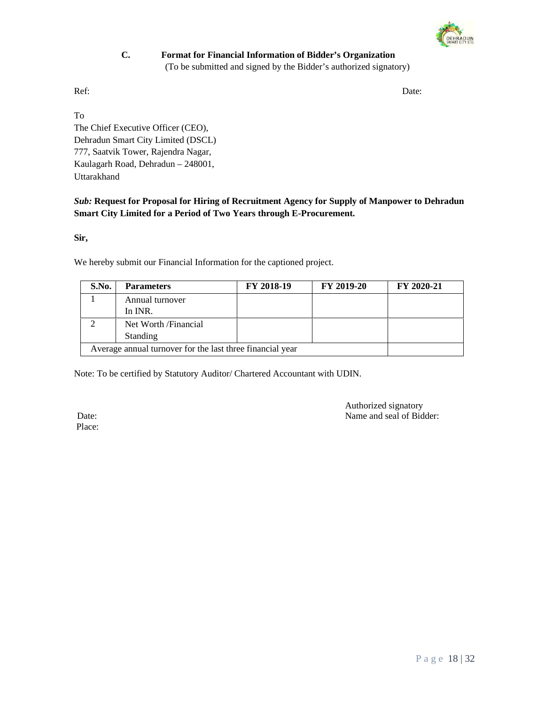

# **C. Format for Financial Information of Bidder's Organization**  (To be submitted and signed by the Bidder's authorized signatory)

Ref: Date: Date: Date: Date: Date: Date: Date: Date: Date: Date: Date: Date: Date: Date: Date: Date: Date: Date: Date: Date: Date: Date: Date: Date: Date: Date: Date: Date: Date: Date: Date: Date: Date: Date: Date: Date: D

To The Chief Executive Officer (CEO), Dehradun Smart City Limited (DSCL) 777, Saatvik Tower, Rajendra Nagar, Kaulagarh Road, Dehradun – 248001, Uttarakhand

*Sub:* **Request for Proposal for Hiring of Recruitment Agency for Supply of Manpower to Dehradun Smart City Limited for a Period of Two Years through E-Procurement.**

**Sir,** 

We hereby submit our Financial Information for the captioned project.

| S.No.                                                     | <b>Parameters</b>     | FY 2018-19 | <b>FY 2019-20</b> | FY 2020-21 |
|-----------------------------------------------------------|-----------------------|------------|-------------------|------------|
|                                                           | Annual turnover       |            |                   |            |
|                                                           | In INR.               |            |                   |            |
|                                                           | Net Worth / Financial |            |                   |            |
|                                                           | <b>Standing</b>       |            |                   |            |
| Average annual turnover for the last three financial year |                       |            |                   |            |

Note: To be certified by Statutory Auditor/ Chartered Accountant with UDIN.

Place:

Authorized signatory Date: Name and seal of Bidder: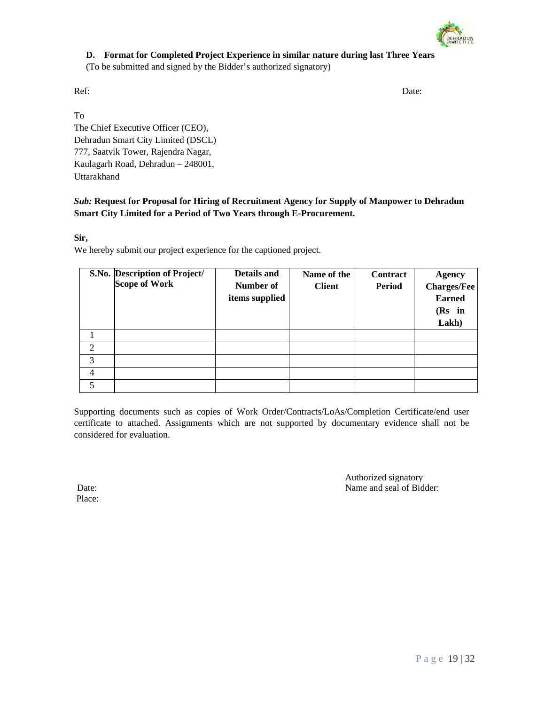

# **D. Format for Completed Project Experience in similar nature during last Three Years**

(To be submitted and signed by the Bidder's authorized signatory)

Ref: Date: Date: Date: Date: Date: Date: Date: Date: Date: Date: Date: Date: Date: Date: Date: Date: Date: Date: Date: Date: Date: Date: Date: Date: Date: Date: Date: Date: Date: Date: Date: Date: Date: Date: Date: Date: D

To The Chief Executive Officer (CEO), Dehradun Smart City Limited (DSCL) 777, Saatvik Tower, Rajendra Nagar, Kaulagarh Road, Dehradun – 248001, Uttarakhand

*Sub:* **Request for Proposal for Hiring of Recruitment Agency for Supply of Manpower to Dehradun Smart City Limited for a Period of Two Years through E-Procurement.**

**Sir,** 

We hereby submit our project experience for the captioned project.

|                             | S.No. Description of Project/<br><b>Scope of Work</b> | Details and<br>Number of<br>items supplied | Name of the<br><b>Client</b> | Contract<br>Period | <b>Agency</b><br><b>Charges/Fee</b><br><b>Earned</b><br>$(Rs$ in<br>Lakh) |
|-----------------------------|-------------------------------------------------------|--------------------------------------------|------------------------------|--------------------|---------------------------------------------------------------------------|
|                             |                                                       |                                            |                              |                    |                                                                           |
| $\mathcal{D}_{\mathcal{L}}$ |                                                       |                                            |                              |                    |                                                                           |
| 3                           |                                                       |                                            |                              |                    |                                                                           |
| 4                           |                                                       |                                            |                              |                    |                                                                           |
| 5                           |                                                       |                                            |                              |                    |                                                                           |

Supporting documents such as copies of Work Order/Contracts/LoAs/Completion Certificate/end user certificate to attached. Assignments which are not supported by documentary evidence shall not be considered for evaluation.

Authorized signatory Date: Name and seal of Bidder:

Place: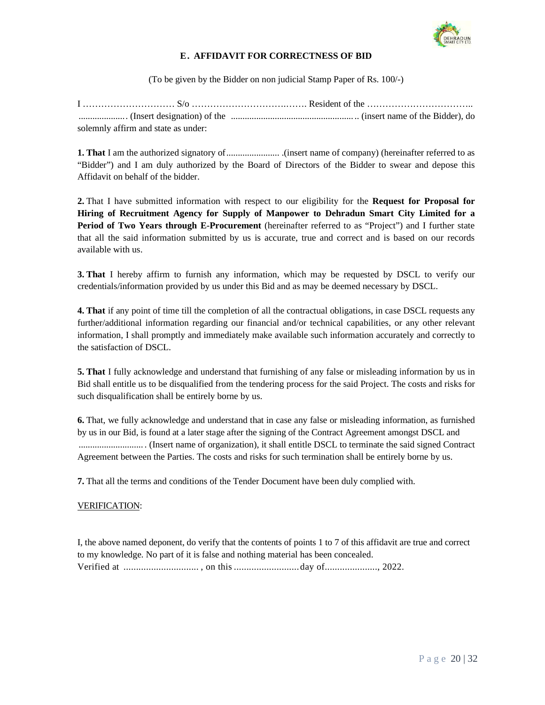

# **E. AFFIDAVIT FOR CORRECTNESS OF BID**

(To be given by the Bidder on non judicial Stamp Paper of Rs. 100/-)

| solemnly affirm and state as under: |  |
|-------------------------------------|--|

**1. That** I am the authorized signatory of ....................... .(insert name of company) (hereinafter referred to as "Bidder") and I am duly authorized by the Board of Directors of the Bidder to swear and depose this Affidavit on behalf of the bidder.

**2.** That I have submitted information with respect to our eligibility for the **Request for Proposal for Hiring of Recruitment Agency for Supply of Manpower to Dehradun Smart City Limited for a Period of Two Years through E-Procurement** (hereinafter referred to as "Project") and I further state that all the said information submitted by us is accurate, true and correct and is based on our records available with us.

**3. That** I hereby affirm to furnish any information, which may be requested by DSCL to verify our credentials/information provided by us under this Bid and as may be deemed necessary by DSCL.

**4. That** if any point of time till the completion of all the contractual obligations, in case DSCL requests any further/additional information regarding our financial and/or technical capabilities, or any other relevant information, I shall promptly and immediately make available such information accurately and correctly to the satisfaction of DSCL.

**5. That** I fully acknowledge and understand that furnishing of any false or misleading information by us in Bid shall entitle us to be disqualified from the tendering process for the said Project. The costs and risks for such disqualification shall be entirely borne by us.

**6.** That, we fully acknowledge and understand that in case any false or misleading information, as furnished by us in our Bid, is found at a later stage after the signing of the Contract Agreement amongst DSCL and ............................ . (Insert name of organization), it shall entitle DSCL to terminate the said signed Contract Agreement between the Parties. The costs and risks for such termination shall be entirely borne by us.

**7.** That all the terms and conditions of the Tender Document have been duly complied with.

### VERIFICATION:

I, the above named deponent, do verify that the contents of points 1 to 7 of this affidavit are true and correct to my knowledge. No part of it is false and nothing material has been concealed. Verified at .............................. , on this .......................... day of....................., 2022.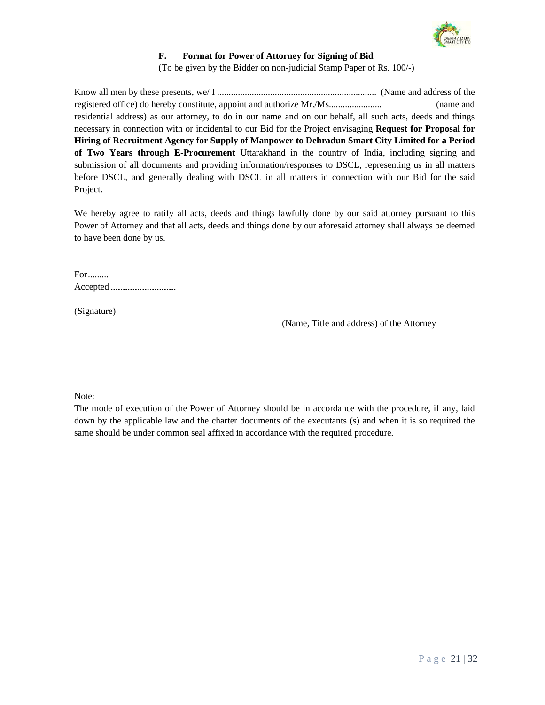

# **F. Format for Power of Attorney for Signing of Bid**

(To be given by the Bidder on non-judicial Stamp Paper of Rs. 100/-)

Know all men by these presents, we/ I ..................................................................... (Name and address of the registered office) do hereby constitute, appoint and authorize Mr./Ms....................... (name and residential address) as our attorney, to do in our name and on our behalf, all such acts, deeds and things necessary in connection with or incidental to our Bid for the Project envisaging **Request for Proposal for Hiring of Recruitment Agency for Supply of Manpower to Dehradun Smart City Limited for a Period of Two Years through E-Procurement** Uttarakhand in the country of India, including signing and submission of all documents and providing information/responses to DSCL, representing us in all matters before DSCL, and generally dealing with DSCL in all matters in connection with our Bid for the said Project.

We hereby agree to ratify all acts, deeds and things lawfully done by our said attorney pursuant to this Power of Attorney and that all acts, deeds and things done by our aforesaid attorney shall always be deemed to have been done by us.

For ......... Accepted

(Signature)

(Name, Title and address) of the Attorney

Note:

The mode of execution of the Power of Attorney should be in accordance with the procedure, if any, laid down by the applicable law and the charter documents of the executants (s) and when it is so required the same should be under common seal affixed in accordance with the required procedure.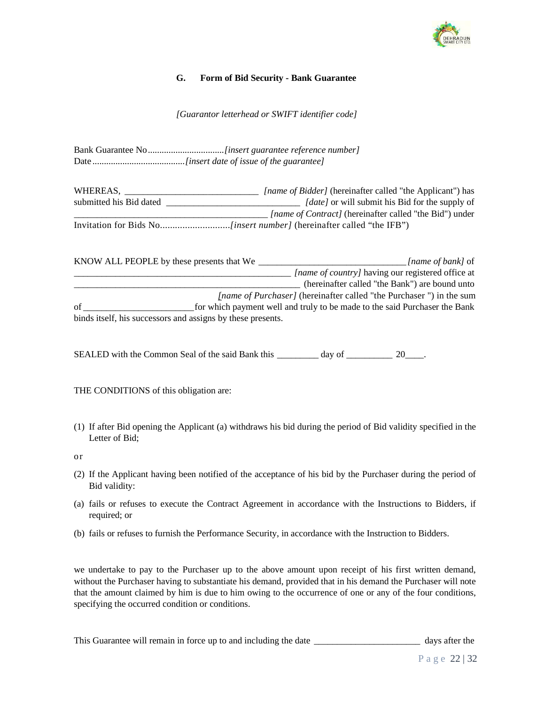

# **G. Form of Bid Security - Bank Guarantee**

*[Guarantor letterhead or SWIFT identifier code]*

Bank Guarantee No ................................. *[insert guarantee reference number]* Date ........................................ *[insert date of issue of the guarantee]*

WHEREAS, \_\_\_\_\_\_\_\_\_\_\_\_\_\_\_\_\_\_\_\_\_\_\_\_\_\_\_\_\_\_\_\_\_*[name of Bidder]* (hereinafter called "the Applicant") has submitted his Bid dated \_\_\_\_\_\_\_\_\_\_\_\_\_\_\_\_\_\_\_\_\_\_\_\_\_\_\_\_\_ *[date]* or will submit his Bid for the supply of  *\_\_\_\_\_\_\_\_\_\_\_\_\_\_\_\_\_\_\_\_\_\_\_\_\_\_\_\_\_\_\_\_\_\_\_\_\_\_\_\_\_\_ [name of Contract]* (hereinafter called "the Bid") under Invitation for Bids No............................*[insert number]* (hereinafter called "the IFB")

| KNOW ALL PEOPLE by these presents that We |                                                             | [name of bank] of                                                          |
|-------------------------------------------|-------------------------------------------------------------|----------------------------------------------------------------------------|
|                                           |                                                             | <i>[name of country]</i> having our registered office at                   |
|                                           |                                                             | (hereinafter called "the Bank") are bound unto                             |
|                                           |                                                             | <i>[name of Purchaser]</i> (hereinafter called "the Purchaser") in the sum |
| of                                        |                                                             | for which payment well and truly to be made to the said Purchaser the Bank |
|                                           | binds itself, his successors and assigns by these presents. |                                                                            |

SEALED with the Common Seal of the said Bank this \_\_\_\_\_\_\_\_\_ day of \_\_\_\_\_\_\_\_\_\_\_ 20\_\_\_\_.

THE CONDITIONS of this obligation are:

(1) If after Bid opening the Applicant (a) withdraws his bid during the period of Bid validity specified in the Letter of Bid;

or

- (2) If the Applicant having been notified of the acceptance of his bid by the Purchaser during the period of Bid validity:
- (a) fails or refuses to execute the Contract Agreement in accordance with the Instructions to Bidders, if required; or
- (b) fails or refuses to furnish the Performance Security, in accordance with the Instruction to Bidders.

we undertake to pay to the Purchaser up to the above amount upon receipt of his first written demand, without the Purchaser having to substantiate his demand, provided that in his demand the Purchaser will note that the amount claimed by him is due to him owing to the occurrence of one or any of the four conditions, specifying the occurred condition or conditions.

This Guarantee will remain in force up to and including the date \_\_\_\_\_\_\_\_\_\_\_\_\_\_\_\_\_\_\_\_\_\_\_\_\_\_\_ days after the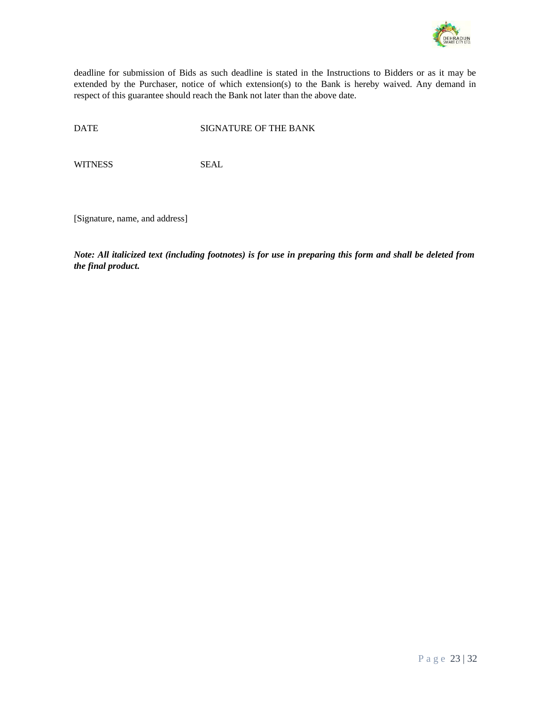

deadline for submission of Bids as such deadline is stated in the Instructions to Bidders or as it may be extended by the Purchaser, notice of which extension(s) to the Bank is hereby waived. Any demand in respect of this guarantee should reach the Bank not later than the above date.

DATE SIGNATURE OF THE BANK

WITNESS SEAL

[Signature, name, and address]

*Note: All italicized text (including footnotes) is for use in preparing this form and shall be deleted from the final product.*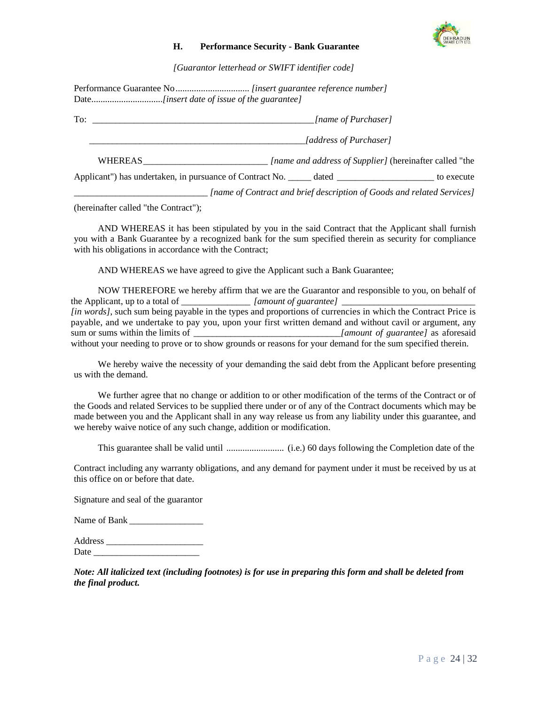

### **H. Performance Security - Bank Guarantee**

*[Guarantor letterhead or SWIFT identifier code]*

Performance Guarantee No ................................ *[insert guarantee reference number]*  Date...............................*[insert date of issue of the guarantee]*

To: *\_\_\_\_\_\_\_\_\_\_\_\_\_\_\_\_\_\_\_\_\_\_\_\_\_\_\_\_\_\_\_\_\_\_\_\_\_\_\_\_\_\_\_\_\_\_\_\_ [name of Purchaser]*

 *\_\_\_\_\_\_\_\_\_\_\_\_\_\_\_\_\_\_\_\_\_\_\_\_\_\_\_\_\_\_\_\_\_\_\_\_\_\_\_\_\_\_\_\_\_\_\_[address of Purchaser]* 

WHEREAS \_\_\_\_\_\_\_\_\_\_\_\_\_\_\_\_\_\_\_\_\_\_\_\_\_\_\_ *[name and address of Supplier]* (hereinafter called "the

Applicant") has undertaken, in pursuance of Contract No. \_\_\_\_\_ dated \_\_\_\_\_\_\_\_\_\_\_\_\_\_\_\_\_\_\_\_\_\_\_ to execute

*<i>Iname of Contract and brief description of Goods and related Services]* 

(hereinafter called "the Contract");

AND WHEREAS it has been stipulated by you in the said Contract that the Applicant shall furnish you with a Bank Guarantee by a recognized bank for the sum specified therein as security for compliance with his obligations in accordance with the Contract;

AND WHEREAS we have agreed to give the Applicant such a Bank Guarantee;

NOW THEREFORE we hereby affirm that we are the Guarantor and responsible to you, on behalf of the Applicant, up to a total of \_\_\_\_\_\_\_\_\_\_\_\_\_\_\_ *[amount of guarantee] \_\_\_\_\_\_\_\_\_\_\_\_\_\_\_\_\_\_\_\_\_\_\_\_\_\_\_\_\_ [in words]*, such sum being payable in the types and proportions of currencies in which the Contract Price is payable, and we undertake to pay you, upon your first written demand and without cavil or argument, any sum or sums within the limits of \_\_\_\_\_\_\_\_\_\_\_\_\_\_\_\_\_\_\_\_\_\_\_\_\_\_\_\_\_*[amount of guarantee]* as aforesaid without your needing to prove or to show grounds or reasons for your demand for the sum specified therein.

We hereby waive the necessity of your demanding the said debt from the Applicant before presenting us with the demand.

We further agree that no change or addition to or other modification of the terms of the Contract or of the Goods and related Services to be supplied there under or of any of the Contract documents which may be made between you and the Applicant shall in any way release us from any liability under this guarantee, and we hereby waive notice of any such change, addition or modification.

This guarantee shall be valid until ......................... (i.e.) 60 days following the Completion date of the

Contract including any warranty obligations, and any demand for payment under it must be received by us at this office on or before that date.

Signature and seal of the guarantor

Name of Bank

Address \_\_\_\_\_\_\_\_\_\_\_\_\_\_\_\_\_\_\_\_\_ Date  $\_\_$ 

*Note: All italicized text (including footnotes) is for use in preparing this form and shall be deleted from the final product.*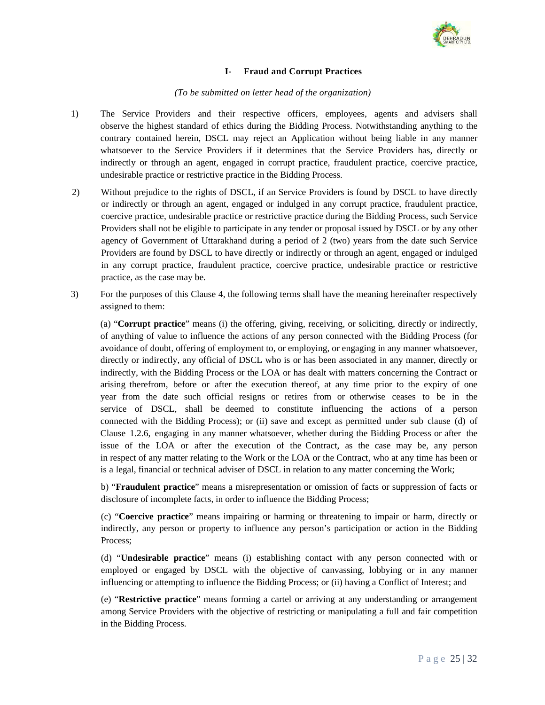

# **I- Fraud and Corrupt Practices**

### *(To be submitted on letter head of the organization)*

- 1) The Service Providers and their respective officers, employees, agents and advisers shall observe the highest standard of ethics during the Bidding Process. Notwithstanding anything to the contrary contained herein, DSCL may reject an Application without being liable in any manner whatsoever to the Service Providers if it determines that the Service Providers has, directly or indirectly or through an agent, engaged in corrupt practice, fraudulent practice, coercive practice, undesirable practice or restrictive practice in the Bidding Process.
- 2) Without prejudice to the rights of DSCL, if an Service Providers is found by DSCL to have directly or indirectly or through an agent, engaged or indulged in any corrupt practice, fraudulent practice, coercive practice, undesirable practice or restrictive practice during the Bidding Process, such Service Providers shall not be eligible to participate in any tender or proposal issued by DSCL or by any other agency of Government of Uttarakhand during a period of 2 (two) years from the date such Service Providers are found by DSCL to have directly or indirectly or through an agent, engaged or indulged in any corrupt practice, fraudulent practice, coercive practice, undesirable practice or restrictive practice, as the case may be.
- 3) For the purposes of this Clause 4, the following terms shall have the meaning hereinafter respectively assigned to them:

(a) "**Corrupt practice**" means (i) the offering, giving, receiving, or soliciting, directly or indirectly, of anything of value to influence the actions of any person connected with the Bidding Process (for avoidance of doubt, offering of employment to, or employing, or engaging in any manner whatsoever, directly or indirectly, any official of DSCL who is or has been associated in any manner, directly or indirectly, with the Bidding Process or the LOA or has dealt with matters concerning the Contract or arising therefrom, before or after the execution thereof, at any time prior to the expiry of one year from the date such official resigns or retires from or otherwise ceases to be in the service of DSCL, shall be deemed to constitute influencing the actions of a person connected with the Bidding Process); or (ii) save and except as permitted under sub clause (d) of Clause 1.2.6, engaging in any manner whatsoever, whether during the Bidding Process or after the issue of the LOA or after the execution of the Contract, as the case may be, any person in respect of any matter relating to the Work or the LOA or the Contract, who at any time has been or is a legal, financial or technical adviser of DSCL in relation to any matter concerning the Work;

b) "**Fraudulent practice**" means a misrepresentation or omission of facts or suppression of facts or disclosure of incomplete facts, in order to influence the Bidding Process;

(c) "**Coercive practice**" means impairing or harming or threatening to impair or harm, directly or indirectly, any person or property to influence any person's participation or action in the Bidding Process;

(d) "**Undesirable practice**" means (i) establishing contact with any person connected with or employed or engaged by DSCL with the objective of canvassing, lobbying or in any manner influencing or attempting to influence the Bidding Process; or (ii) having a Conflict of Interest; and

(e) "**Restrictive practice**" means forming a cartel or arriving at any understanding or arrangement among Service Providers with the objective of restricting or manipulating a full and fair competition in the Bidding Process.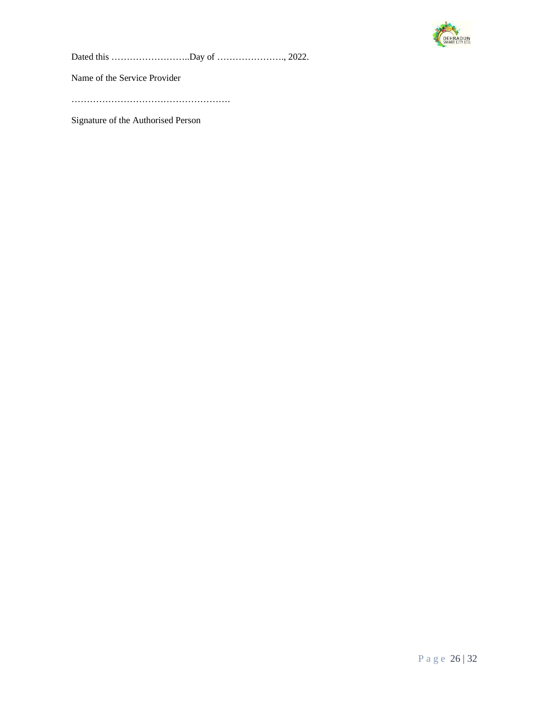

Dated this ……………………..Day of …………………., 2022.

Name of the Service Provider

…………………………………………….

Signature of the Authorised Person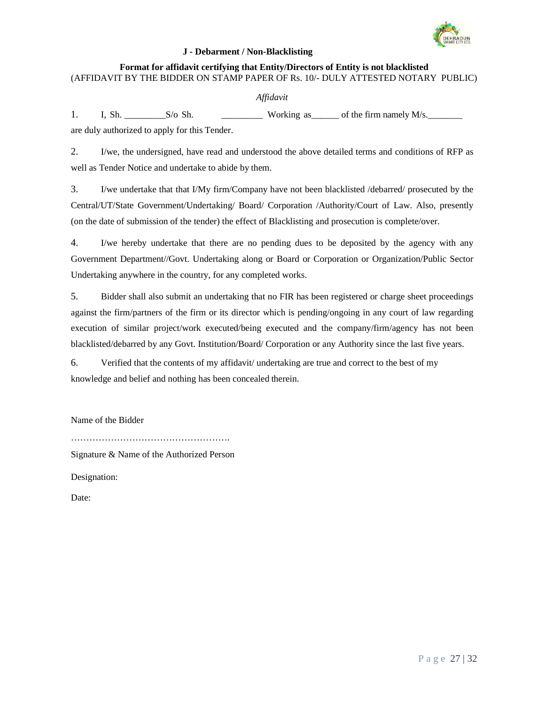

### **J - Debarment / Non-Blacklisting**

### **Format for affidavit certifying that Entity/Directors of Entity is not blacklisted**  (AFFIDAVIT BY THE BIDDER ON STAMP PAPER OF Rs. 10/- DULY ATTESTED NOTARY PUBLIC)

# *Affidavit*

1. I, Sh.  $S/\text{o Sh.}$  Working as  $\qquad$  of the firm namely M/s.

are duly authorized to apply for this Tender.

2. I/we, the undersigned, have read and understood the above detailed terms and conditions of RFP as well as Tender Notice and undertake to abide by them.

3. I/we undertake that that I/My firm/Company have not been blacklisted /debarred/ prosecuted by the Central/UT/State Government/Undertaking/ Board/ Corporation /Authority/Court of Law. Also, presently (on the date of submission of the tender) the effect of Blacklisting and prosecution is complete/over.

4. I/we hereby undertake that there are no pending dues to be deposited by the agency with any Government Department//Govt. Undertaking along or Board or Corporation or Organization/Public Sector Undertaking anywhere in the country, for any completed works.

5. Bidder shall also submit an undertaking that no FIR has been registered or charge sheet proceedings against the firm/partners of the firm or its director which is pending/ongoing in any court of law regarding execution of similar project/work executed/being executed and the company/firm/agency has not been blacklisted/debarred by any Govt. Institution/Board/ Corporation or any Authority since the last five years.

6. Verified that the contents of my affidavit/ undertaking are true and correct to the best of my knowledge and belief and nothing has been concealed therein.

Name of the Bidder

…………………………………………….

Signature & Name of the Authorized Person

Designation:

Date: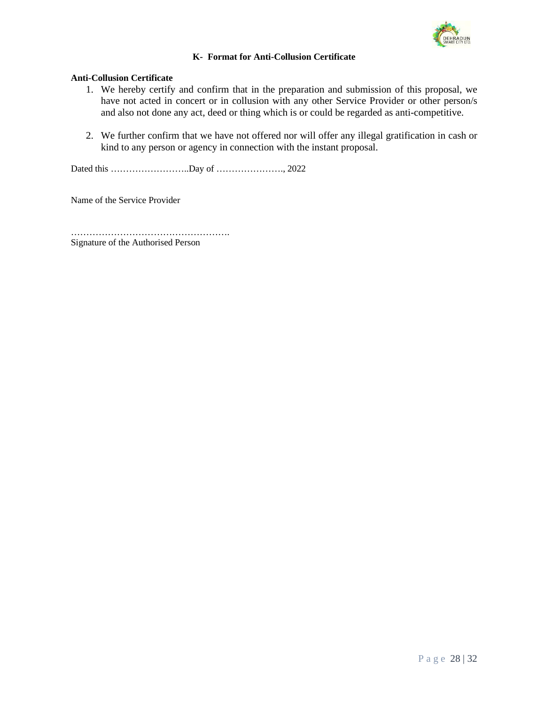

# **K- Format for Anti-Collusion Certificate**

# **Anti-Collusion Certificate**

- 1. We hereby certify and confirm that in the preparation and submission of this proposal, we have not acted in concert or in collusion with any other Service Provider or other person/s and also not done any act, deed or thing which is or could be regarded as anti-competitive.
- 2. We further confirm that we have not offered nor will offer any illegal gratification in cash or kind to any person or agency in connection with the instant proposal.

Dated this ……………………..Day of …………………., 2022

Name of the Service Provider

……………………………………………. Signature of the Authorised Person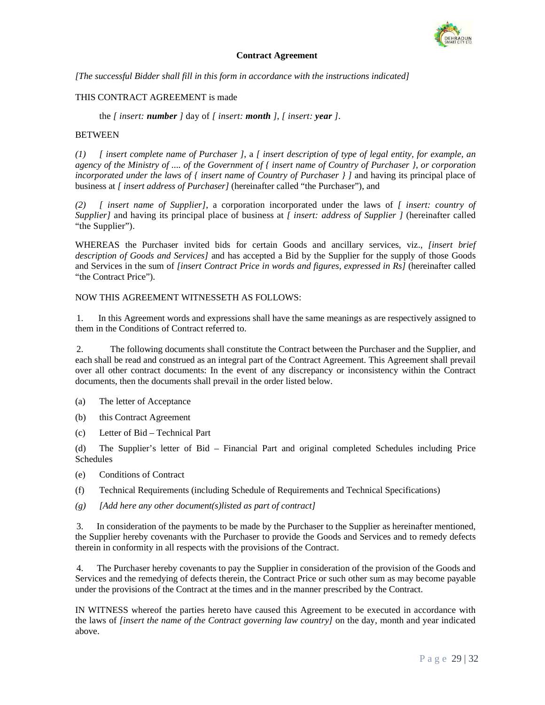

#### **Contract Agreement**

*[The successful Bidder shall fill in this form in accordance with the instructions indicated]* 

### THIS CONTRACT AGREEMENT is made

the *[ insert: number ]* day of *[ insert: month ]*, *[ insert: year ]*.

### **BETWEEN**

*(1) [ insert complete name of Purchaser ]*, a *[ insert description of type of legal entity, for example, an agency of the Ministry of .... of the Government of { insert name of Country of Purchaser }, or corporation incorporated under the laws of { insert name of Country of Purchaser } ]* and having its principal place of business at *[ insert address of Purchaser]* (hereinafter called "the Purchaser"), and

*(2) [ insert name of Supplier]*, a corporation incorporated under the laws of *[ insert: country of Supplier]* and having its principal place of business at *[ insert: address of Supplier ]* (hereinafter called "the Supplier").

WHEREAS the Purchaser invited bids for certain Goods and ancillary services, viz., *[insert brief description of Goods and Services]* and has accepted a Bid by the Supplier for the supply of those Goods and Services in the sum of *[insert Contract Price in words and figures, expressed in Rs]* (hereinafter called "the Contract Price").

### NOW THIS AGREEMENT WITNESSETH AS FOLLOWS:

 1. In this Agreement words and expressions shall have the same meanings as are respectively assigned to them in the Conditions of Contract referred to.

 2. The following documents shall constitute the Contract between the Purchaser and the Supplier, and each shall be read and construed as an integral part of the Contract Agreement. This Agreement shall prevail over all other contract documents: In the event of any discrepancy or inconsistency within the Contract documents, then the documents shall prevail in the order listed below.

- (a) The letter of Acceptance
- (b) this Contract Agreement
- (c) Letter of Bid Technical Part

(d) The Supplier's letter of Bid – Financial Part and original completed Schedules including Price Schedules

- (e) Conditions of Contract
- (f) Technical Requirements (including Schedule of Requirements and Technical Specifications)
- *(g) [Add here any other document(s)listed as part of contract]*

 3. In consideration of the payments to be made by the Purchaser to the Supplier as hereinafter mentioned, the Supplier hereby covenants with the Purchaser to provide the Goods and Services and to remedy defects therein in conformity in all respects with the provisions of the Contract.

 4. The Purchaser hereby covenants to pay the Supplier in consideration of the provision of the Goods and Services and the remedying of defects therein, the Contract Price or such other sum as may become payable under the provisions of the Contract at the times and in the manner prescribed by the Contract.

IN WITNESS whereof the parties hereto have caused this Agreement to be executed in accordance with the laws of *[insert the name of the Contract governing law country]* on the day, month and year indicated above.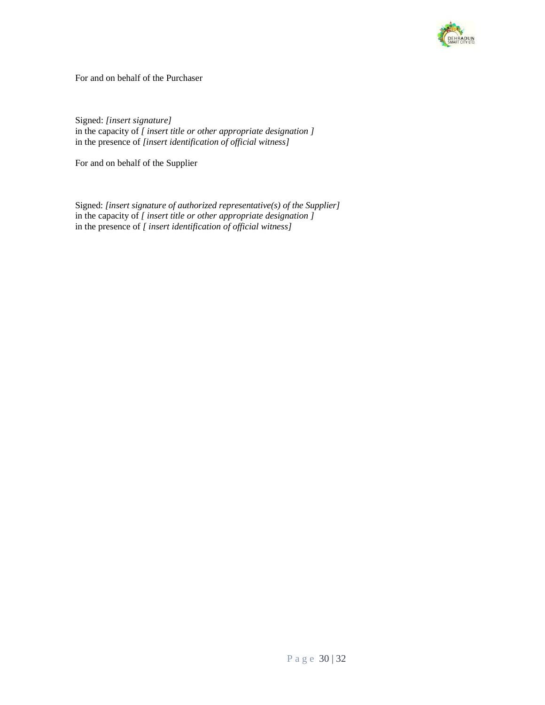

For and on behalf of the Purchaser

Signed: *[insert signature]* in the capacity of *[ insert title or other appropriate designation ]* in the presence of *[insert identification of official witness]*

For and on behalf of the Supplier

Signed: *[insert signature of authorized representative(s) of the Supplier]* in the capacity of *[ insert title or other appropriate designation ]* in the presence of *[ insert identification of official witness]*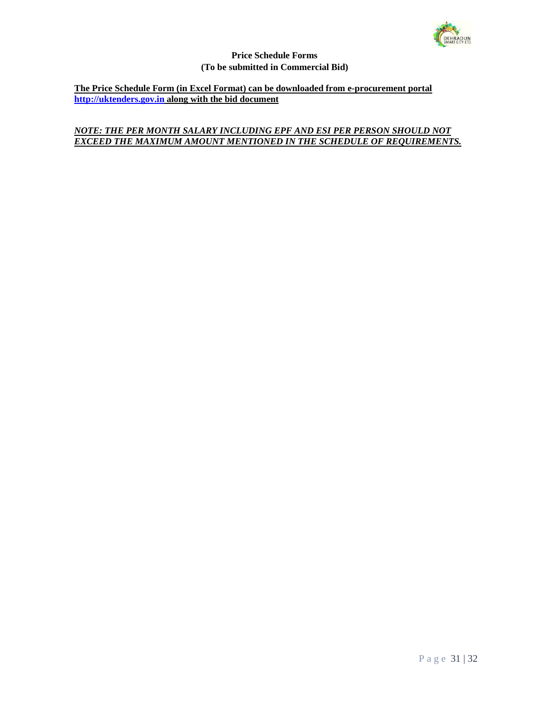

### **Price Schedule Forms (To be submitted in Commercial Bid)**

**The Price Schedule Form (in Excel Format) can be downloaded from e-procurement portal http://uktenders.gov.in along with the bid document** 

# *NOTE: THE PER MONTH SALARY INCLUDING EPF AND ESI PER PERSON SHOULD NOT*  **EXCEED THE MAXIMUM AMOUNT MENTIONED IN THE SCHEDULE OF REQUIREMENTS.**